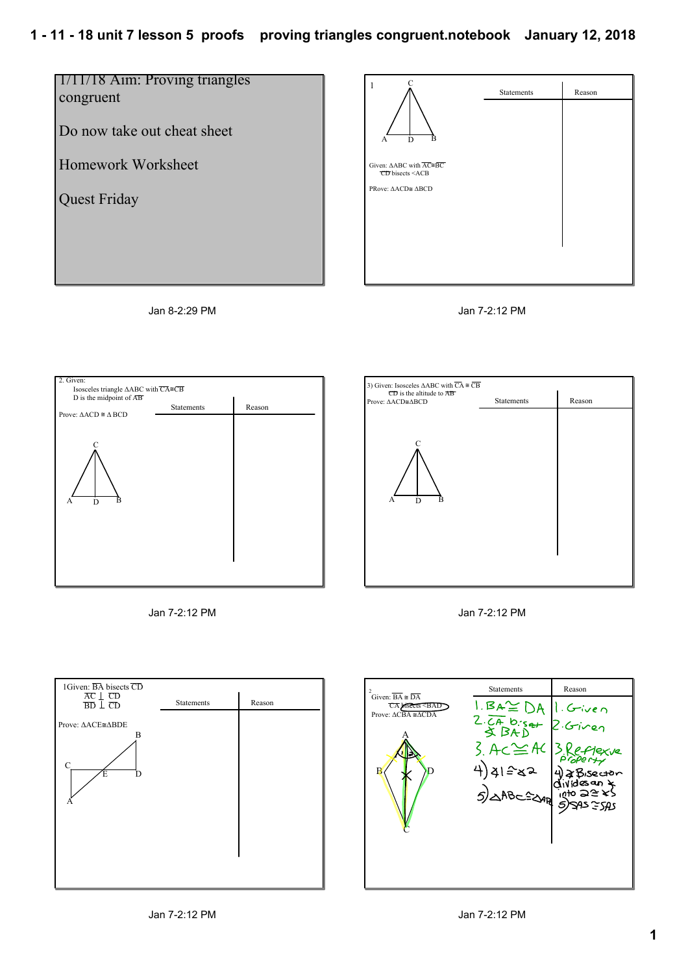## **1 11 18 unit 7 lesson 5 proofs proving triangles congruent.notebook January 12, 2018**



Jan 8-2:29 PM













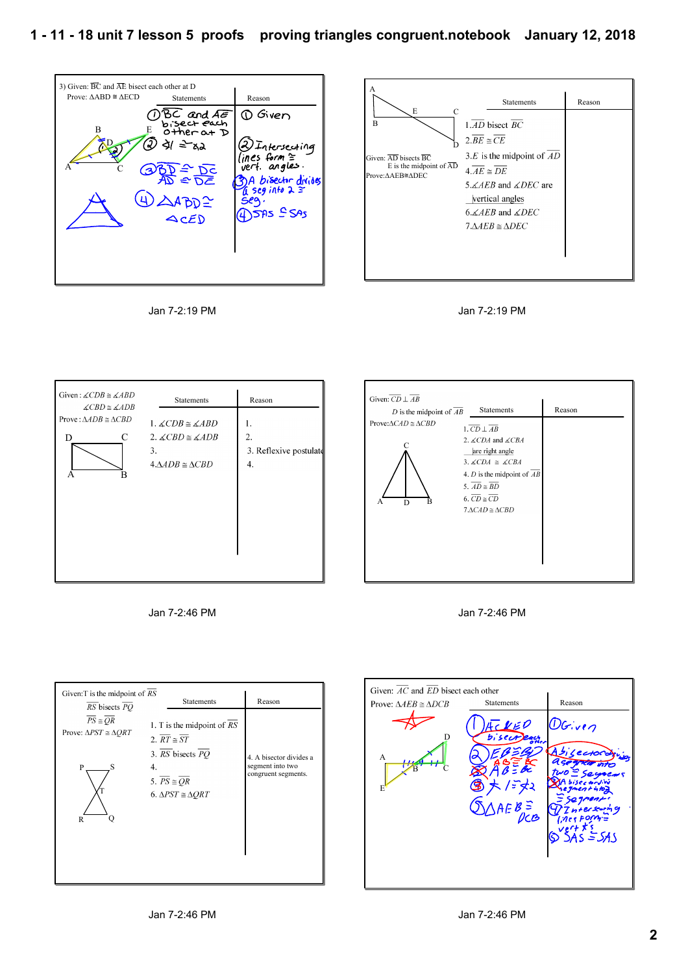

Jan 7-2:19 PM









| Given: $\overline{CD} \perp \overline{AB}$<br>D is the midpoint of $\overline{AB}$ | <b>Statements</b>                                                                                                                                                                                                                                                                                                             | Reason |
|------------------------------------------------------------------------------------|-------------------------------------------------------------------------------------------------------------------------------------------------------------------------------------------------------------------------------------------------------------------------------------------------------------------------------|--------|
| Prove: $\triangle CAD \cong \triangle CBD$<br>D<br>A                               | $1.\overline{CD} \perp \overline{AB}$<br>2. $\angle$ <i>CDA</i> and $\angle$ <i>CBA</i><br>are right angle<br>3. $\angle CDA \cong \angle CBA$<br>4. <i>D</i> is the midpoint of $\overline{AB}$<br>5. $\overline{AD} \cong \overline{BD}$<br>6. $\overline{CD} \cong \overline{CD}$<br>$7 \triangle CAD \cong \triangle CBD$ |        |





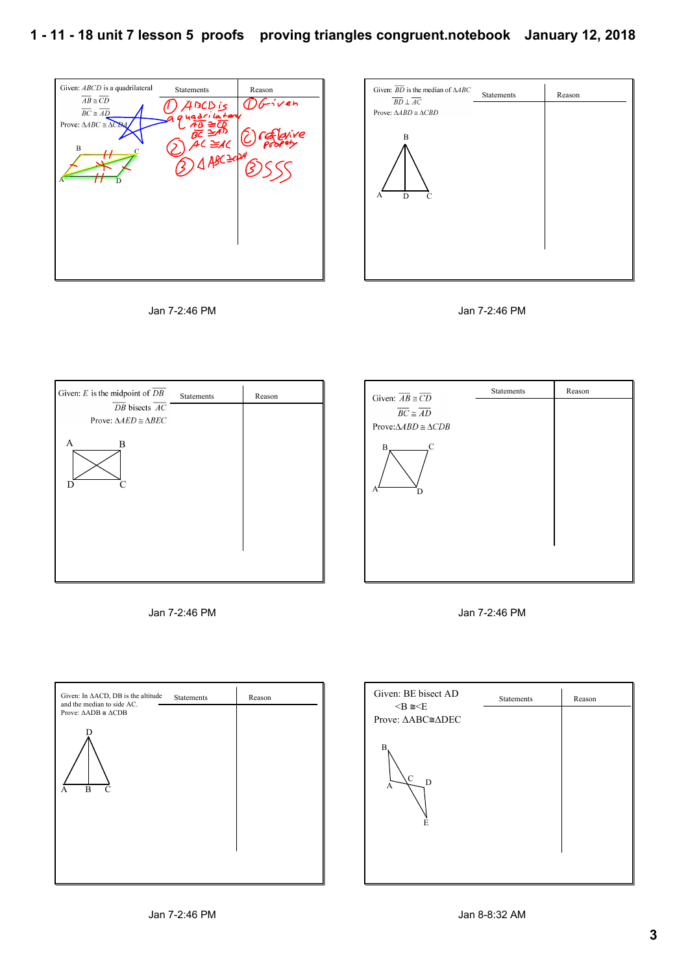Г

Given: ABCD is a quadrilateral Statements Reason  $\overline{AB} \cong \overline{CD}$ **OGiven**  $\bigcap$   $\bigwedge$   $\bigwedge$  IsCD is  $\overline{BC} \cong \overline{AD}$ uadrik Prove:  $\triangle ABC \cong \triangle$ CB4  $\overline{AB} = \overline{AB}$  $AC \cong AC$ B  $4ABC<sup>2</sup>$  $\overline{\phantom{a}}^c$ A  $\top$ 









| Given: $\overline{AB} \cong \overline{CD}$ | Statements | Reason |
|--------------------------------------------|------------|--------|
|                                            |            |        |
| $\overline{BC} \cong \overline{AD}$        |            |        |
| Prove: $\triangle ABD \cong \triangle CDB$ |            |        |
| C<br>В.<br>A<br>D                          |            |        |
|                                            |            |        |
|                                            |            |        |
|                                            |            |        |





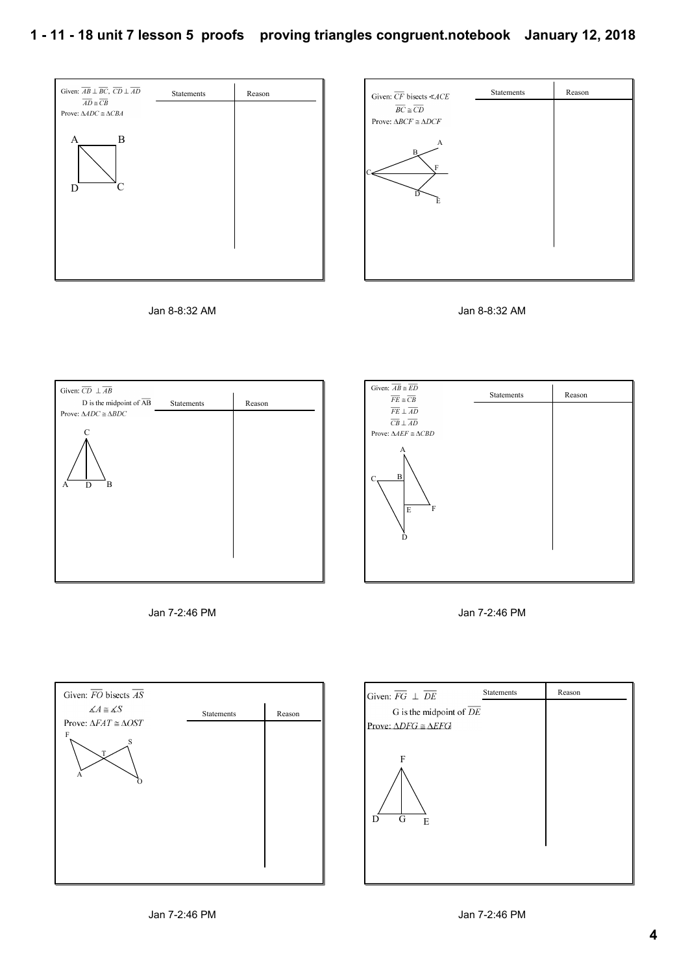

















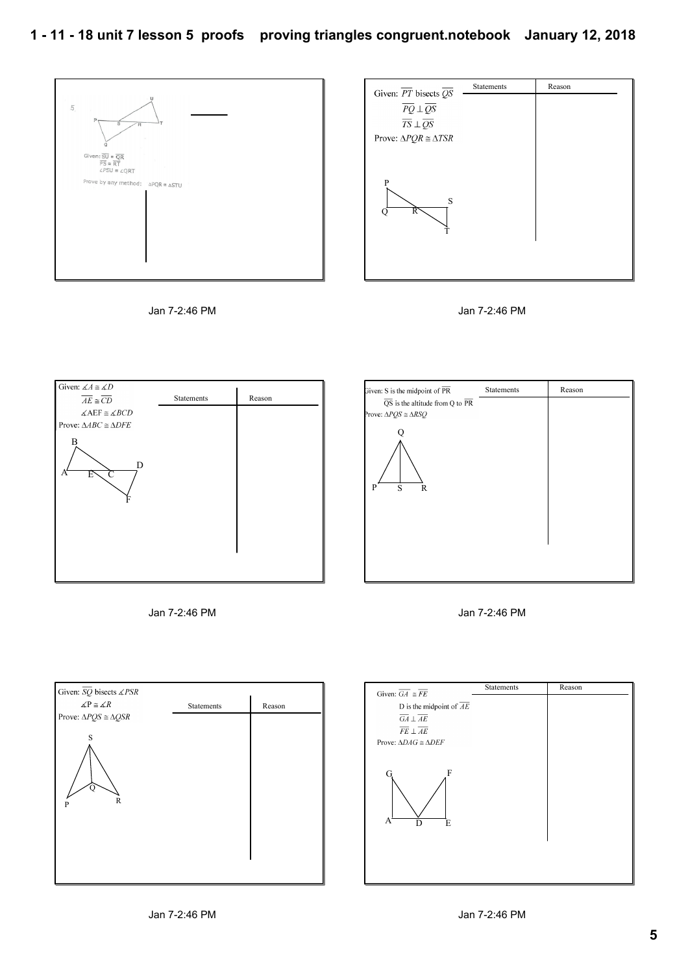









| Given: S is the midpoint of $\overline{\text{PR}}$        | Statements | Reason |
|-----------------------------------------------------------|------------|--------|
| $\overline{QS}$ is the altitude from Q to $\overline{PR}$ |            |        |
| Prove: $\triangle PQS \cong \triangle RSQ$                |            |        |
|                                                           |            |        |
|                                                           |            |        |
|                                                           |            |        |
| S<br>P<br>R                                               |            |        |
|                                                           |            |        |
|                                                           |            |        |
|                                                           |            |        |
|                                                           |            |        |
|                                                           |            |        |
|                                                           |            |        |





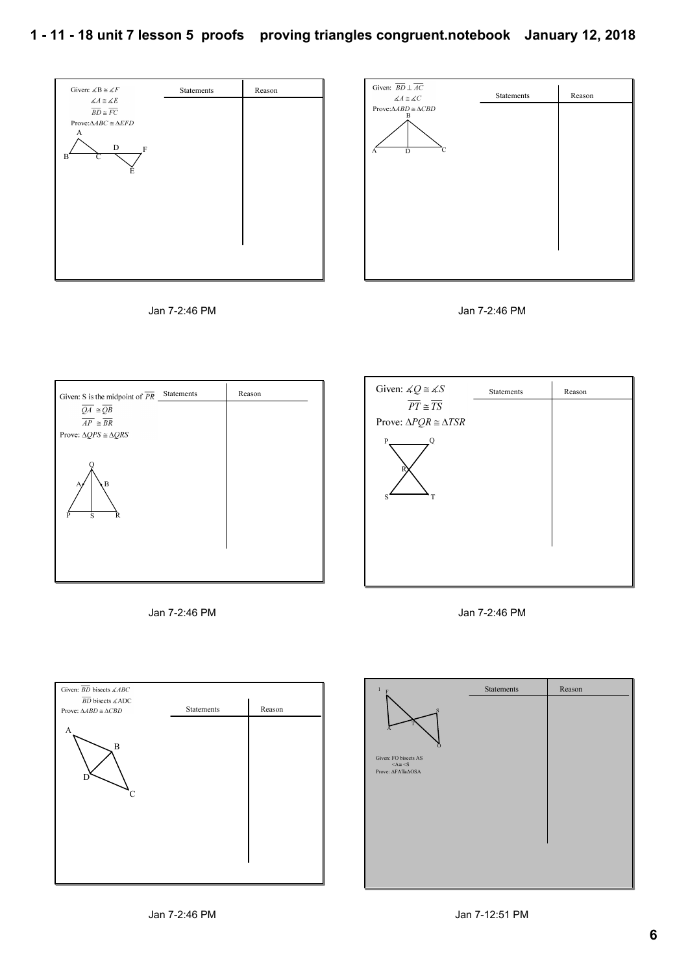## **1 11 18 unit 7 lesson 5 proofs proving triangles congruent.notebook January 12, 2018**















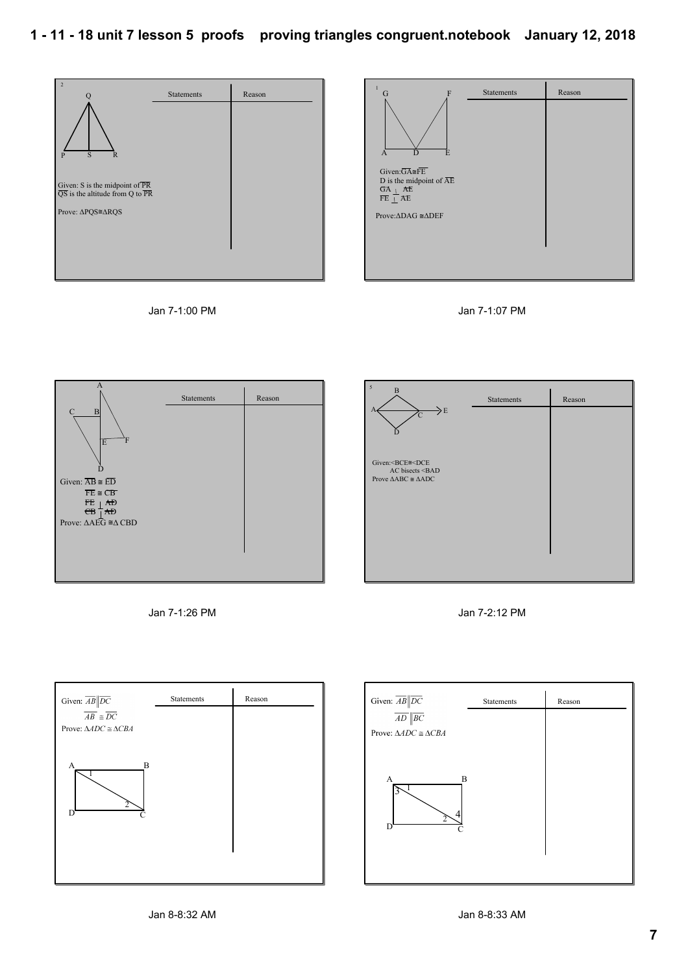$\sim$ 











| $\overline{ }$<br>B<br>$\Rightarrow$ E<br>$\overline{C}$                         | <b>Statements</b> | Reason |
|----------------------------------------------------------------------------------|-------------------|--------|
| Given: <bce≅<dce< td=""><td></td><td></td></bce≅<dce<>                           |                   |        |
| AC bisects <bad<br>Prove <math>\triangle ABC \cong \triangle ADC</math></bad<br> |                   |        |
|                                                                                  |                   |        |
|                                                                                  |                   |        |

Jan 7-1:26 PM